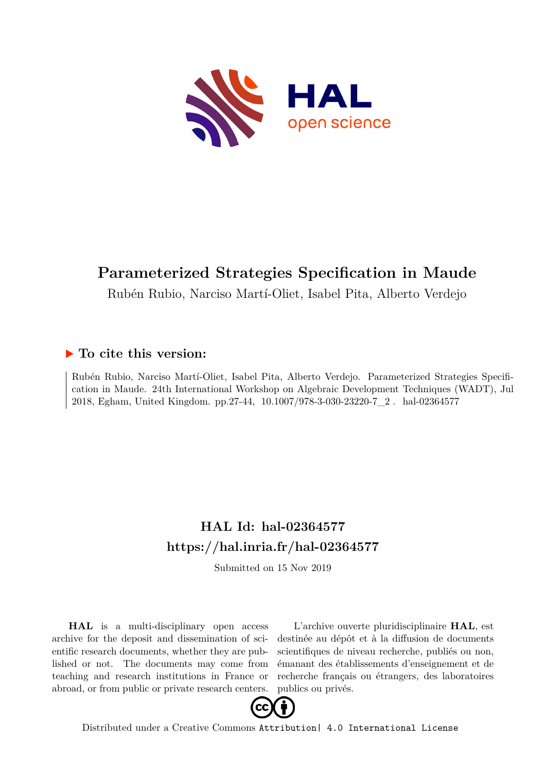

# **Parameterized Strategies Specification in Maude**

Rubén Rubio, Narciso Martí-Oliet, Isabel Pita, Alberto Verdejo

## **To cite this version:**

Rubén Rubio, Narciso Martí-Oliet, Isabel Pita, Alberto Verdejo. Parameterized Strategies Specification in Maude. 24th International Workshop on Algebraic Development Techniques (WADT), Jul 2018, Egham, United Kingdom. pp.27-44, 10.1007/978-3-030-23220-7\_2. hal-02364577

## **HAL Id: hal-02364577 <https://hal.inria.fr/hal-02364577>**

Submitted on 15 Nov 2019

**HAL** is a multi-disciplinary open access archive for the deposit and dissemination of scientific research documents, whether they are published or not. The documents may come from teaching and research institutions in France or abroad, or from public or private research centers.

L'archive ouverte pluridisciplinaire **HAL**, est destinée au dépôt et à la diffusion de documents scientifiques de niveau recherche, publiés ou non, émanant des établissements d'enseignement et de recherche français ou étrangers, des laboratoires publics ou privés.



Distributed under a Creative Commons [Attribution| 4.0 International License](http://creativecommons.org/licenses/by/4.0/)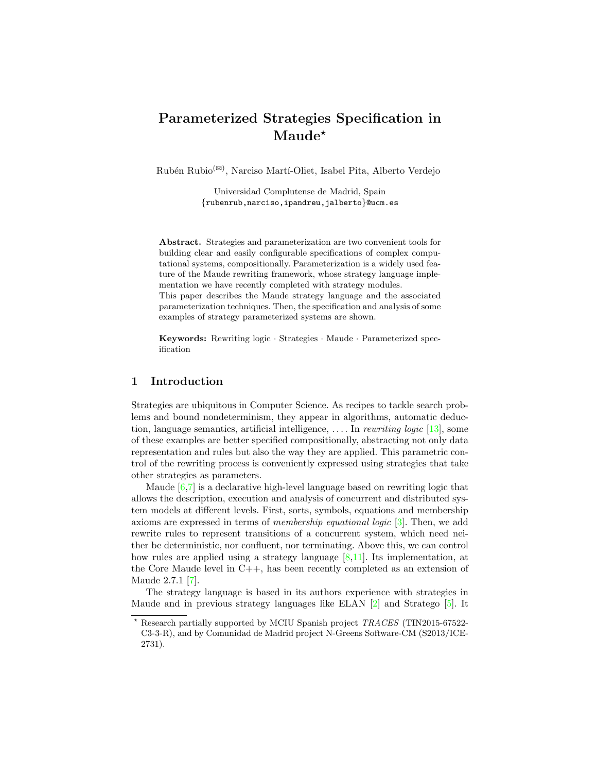### Parameterized Strategies Specification in Maude<sup>\*</sup>

Rubén Rubio<sup>( $\boxtimes$ )</sup>, Narciso Martí-Oliet, Isabel Pita, Alberto Verdejo

Universidad Complutense de Madrid, Spain {rubenrub,narciso,ipandreu,jalberto}@ucm.es

Abstract. Strategies and parameterization are two convenient tools for building clear and easily configurable specifications of complex computational systems, compositionally. Parameterization is a widely used feature of the Maude rewriting framework, whose strategy language implementation we have recently completed with strategy modules.

This paper describes the Maude strategy language and the associated parameterization techniques. Then, the specification and analysis of some examples of strategy parameterized systems are shown.

Keywords: Rewriting logic · Strategies · Maude · Parameterized specification

#### 1 Introduction

Strategies are ubiquitous in Computer Science. As recipes to tackle search problems and bound nondeterminism, they appear in algorithms, automatic deduction, language semantics, artificial intelligence, .... In rewriting logic  $[13]$ , some of these examples are better specified compositionally, abstracting not only data representation and rules but also the way they are applied. This parametric control of the rewriting process is conveniently expressed using strategies that take other strategies as parameters.

Maude [6,7] is a declarative high-level language based on rewriting logic that allows the description, execution and analysis of concurrent and distributed system models at different levels. First, sorts, symbols, equations and membership axioms are expressed in terms of membership equational logic [3]. Then, we add rewrite rules to represent transitions of a concurrent system, which need neither be deterministic, nor confluent, nor terminating. Above this, we can control how rules are applied using a strategy language  $[8,11]$ . Its implementation, at the Core Maude level in C++, has been recently completed as an extension of Maude 2.7.1 [7].

The strategy language is based in its authors experience with strategies in Maude and in previous strategy languages like ELAN [2] and Stratego [5]. It

<sup>?</sup> Research partially supported by MCIU Spanish project TRACES (TIN2015-67522- C3-3-R), and by Comunidad de Madrid project N-Greens Software-CM (S2013/ICE-2731).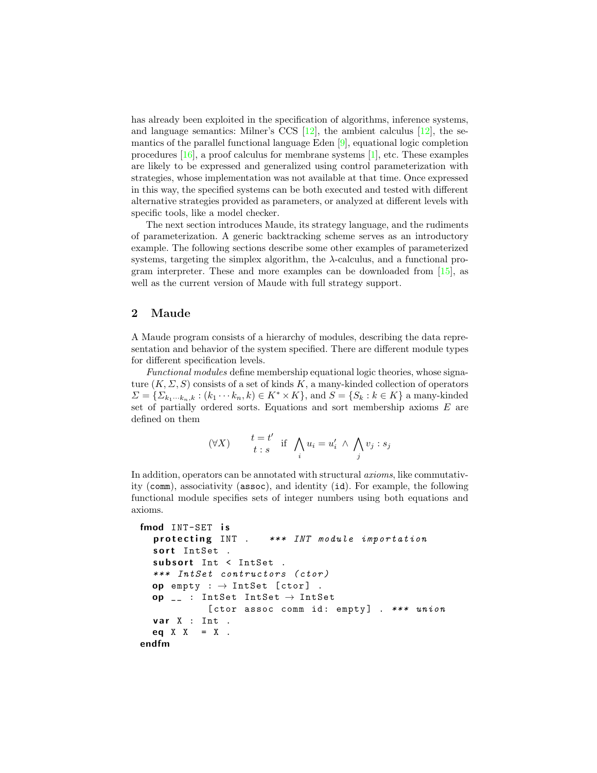has already been exploited in the specification of algorithms, inference systems, and language semantics: Milner's CCS  $[12]$ , the ambient calculus  $[12]$ , the semantics of the parallel functional language Eden [9], equational logic completion procedures [16], a proof calculus for membrane systems [1], etc. These examples are likely to be expressed and generalized using control parameterization with strategies, whose implementation was not available at that time. Once expressed in this way, the specified systems can be both executed and tested with different alternative strategies provided as parameters, or analyzed at different levels with specific tools, like a model checker.

The next section introduces Maude, its strategy language, and the rudiments of parameterization. A generic backtracking scheme serves as an introductory example. The following sections describe some other examples of parameterized systems, targeting the simplex algorithm, the  $\lambda$ -calculus, and a functional program interpreter. These and more examples can be downloaded from [15], as well as the current version of Maude with full strategy support.

#### 2 Maude

A Maude program consists of a hierarchy of modules, describing the data representation and behavior of the system specified. There are different module types for different specification levels.

Functional modules define membership equational logic theories, whose signature  $(K, \Sigma, S)$  consists of a set of kinds K, a many-kinded collection of operators  $\Sigma = {\{\Sigma_{k_1\cdots k_n,k}: (k_1\cdots k_n,k) \in K^* \times K\}}$ , and  $S = {\{S_k: k \in K\}}$  a many-kinded set of partially ordered sorts. Equations and sort membership axioms  $E$  are defined on them

$$
(\forall X) \qquad \begin{array}{l} t = t' \\ t : s \end{array} \text{ if } \bigwedge_i u_i = u'_i \ \wedge \ \bigwedge_j v_j : s_j
$$

In addition, operators can be annotated with structural axioms, like commutativity (comm), associativity (assoc), and identity (id). For example, the following functional module specifies sets of integer numbers using both equations and axioms.

```
fmod INT-SET is
  protecting INT. *** INT module importation
  sort IntSet .
  subsort Int < IntSet .
  *** IntSet contructors ( ctor )
  op empty : \rightarrow IntSet [ctor] .
  op \Box : IntSet IntSet \rightarrow IntSet
            [ctor assoc comm id: empty] . *** union
  var X : Int.eq X \times X = X.
endfm
```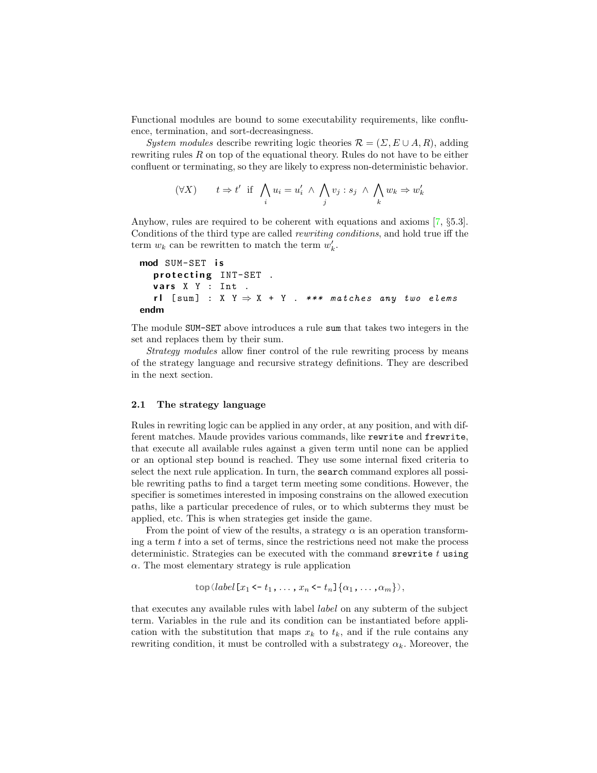Functional modules are bound to some executability requirements, like confluence, termination, and sort-decreasingness.

System modules describe rewriting logic theories  $\mathcal{R} = (\Sigma, E \cup A, R)$ , adding rewriting rules R on top of the equational theory. Rules do not have to be either confluent or terminating, so they are likely to express non-deterministic behavior.

$$
(\forall X) \qquad t \Rightarrow t' \text{ if } \bigwedge_i u_i = u'_i \ \wedge \ \bigwedge_j v_j : s_j \ \wedge \ \bigwedge_k w_k \Rightarrow w'_k
$$

Anyhow, rules are required to be coherent with equations and axioms [7, §5.3]. Conditions of the third type are called rewriting conditions, and hold true iff the term  $w_k$  can be rewritten to match the term  $w'_k$ .

```
mod SUM-SET is
  protecting INT-SET
  vars X Y : Int .
  rl [sum] : X Y \Rightarrow X + Y . *** matches any two elems
endm
```
The module SUM-SET above introduces a rule sum that takes two integers in the set and replaces them by their sum.

Strategy modules allow finer control of the rule rewriting process by means of the strategy language and recursive strategy definitions. They are described in the next section.

#### 2.1 The strategy language

Rules in rewriting logic can be applied in any order, at any position, and with different matches. Maude provides various commands, like rewrite and frewrite, that execute all available rules against a given term until none can be applied or an optional step bound is reached. They use some internal fixed criteria to select the next rule application. In turn, the search command explores all possible rewriting paths to find a target term meeting some conditions. However, the specifier is sometimes interested in imposing constrains on the allowed execution paths, like a particular precedence of rules, or to which subterms they must be applied, etc. This is when strategies get inside the game.

From the point of view of the results, a strategy  $\alpha$  is an operation transforming a term  $t$  into a set of terms, since the restrictions need not make the process deterministic. Strategies can be executed with the command srewrite  $t$  using  $\alpha$ . The most elementary strategy is rule application

 $top(label[x_1 \leftarrow t_1, \ldots, x_n \leftarrow t_n] \{ \alpha_1, \ldots, \alpha_m \}),$ 

that executes any available rules with label label on any subterm of the subject term. Variables in the rule and its condition can be instantiated before application with the substitution that maps  $x_k$  to  $t_k$ , and if the rule contains any rewriting condition, it must be controlled with a substrategy  $\alpha_k$ . Moreover, the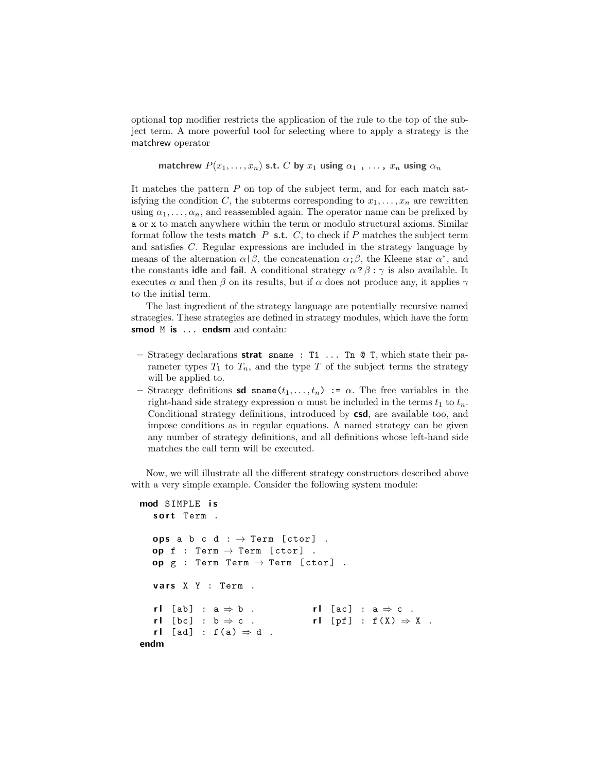optional top modifier restricts the application of the rule to the top of the subject term. A more powerful tool for selecting where to apply a strategy is the matchrew operator

```
matchrew P(x_1, \ldots, x_n) s.t. C by x_1 using \alpha_1 , \ldots , x_n using \alpha_n
```
It matches the pattern  $P$  on top of the subject term, and for each match satisfying the condition C, the subterms corresponding to  $x_1, \ldots, x_n$  are rewritten using  $\alpha_1, \ldots, \alpha_n$ , and reassembled again. The operator name can be prefixed by a or x to match anywhere within the term or modulo structural axioms. Similar format follow the tests **match**  $P$  s.t.  $C$ , to check if  $P$  matches the subject term and satisfies C. Regular expressions are included in the strategy language by means of the alternation  $\alpha | \beta$ , the concatenation  $\alpha$ ;  $\beta$ , the Kleene star  $\alpha^*$ , and the constants **idle** and **fail.** A conditional strategy  $\alpha$ ?  $\beta$  :  $\gamma$  is also available. It executes  $\alpha$  and then  $\beta$  on its results, but if  $\alpha$  does not produce any, it applies  $\gamma$ to the initial term.

The last ingredient of the strategy language are potentially recursive named strategies. These strategies are defined in strategy modules, which have the form smod M is ... endsm and contain:

- Strategy declarations strat sname : T1 ... Tn  $\&$  T, which state their parameter types  $T_1$  to  $T_n$ , and the type T of the subject terms the strategy will be applied to.
- Strategy definitions **sd** sname  $(t_1, \ldots, t_n)$  :=  $\alpha$ . The free variables in the right-hand side strategy expression  $\alpha$  must be included in the terms  $t_1$  to  $t_n$ . Conditional strategy definitions, introduced by csd, are available too, and impose conditions as in regular equations. A named strategy can be given any number of strategy definitions, and all definitions whose left-hand side matches the call term will be executed.

Now, we will illustrate all the different strategy constructors described above with a very simple example. Consider the following system module:

```
mod SIMPLE is
   sort Term.
  ops a b c d : \rightarrow Term [ctor].
  op f : Term \rightarrow Term [ctor] .
  op g : \texttt{Term Term} \rightarrow \texttt{Term [ctor]}.
   vars X Y : Term .
   r l [ab] : a \Rightarrow b . r l [ac] : a \Rightarrow c .
   r l [bc] : b \Rightarrow c . r l [pf] : f(X) \Rightarrow X .
   rl [ad] : f(a) \Rightarrow d.
endm
```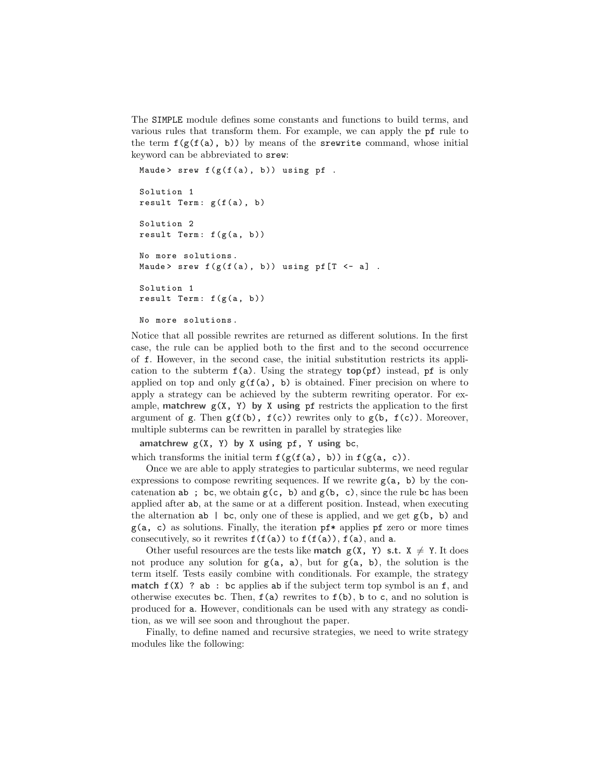The SIMPLE module defines some constants and functions to build terms, and various rules that transform them. For example, we can apply the pf rule to the term  $f(g(f(a), b))$  by means of the srewrite command, whose initial keyword can be abbreviated to srew:

```
Maude> srew f(g(f(a), b)) using pf.
Solution 1
result Term: g(f(a), b)Solution 2
result Term: f(g(a, b))No more solutions .
Maude > srew f(g(f(a), b)) using pf [T < -a].
Solution 1
result Term: f(g(a, b))
```

```
No more solutions .
```
Notice that all possible rewrites are returned as different solutions. In the first case, the rule can be applied both to the first and to the second occurrence of f. However, in the second case, the initial substitution restricts its application to the subterm  $f(a)$ . Using the strategy **top(pf)** instead, **pf** is only applied on top and only  $g(f(a), b)$  is obtained. Finer precision on where to apply a strategy can be achieved by the subterm rewriting operator. For example, **matchrew**  $g(X, Y)$  by X using pf restricts the application to the first argument of  $g$ . Then  $g(f(b), f(c))$  rewrites only to  $g(b, f(c))$ . Moreover, multiple subterms can be rewritten in parallel by strategies like

amatchrew  $g(X, Y)$  by X using pf, Y using bc,

which transforms the initial term  $f(g(f(a), b))$  in  $f(g(a, c))$ .

Once we are able to apply strategies to particular subterms, we need regular expressions to compose rewriting sequences. If we rewrite  $g(a, b)$  by the concatenation ab ; bc, we obtain  $g(c, b)$  and  $g(b, c)$ , since the rule bc has been applied after ab, at the same or at a different position. Instead, when executing the alternation ab | bc, only one of these is applied, and we get  $g(b, b)$  and  $g(a, c)$  as solutions. Finally, the iteration  $pf*$  applies pf zero or more times consecutively, so it rewrites  $f(f(a))$  to  $f(f(a))$ ,  $f(a)$ , and a.

Other useful resources are the tests like **match**  $g(X, Y)$  s.t.  $X \neq Y$ . It does not produce any solution for  $g(a, a)$ , but for  $g(a, b)$ , the solution is the term itself. Tests easily combine with conditionals. For example, the strategy match  $f(X)$  ? ab : bc applies ab if the subject term top symbol is an f, and otherwise executes bc. Then,  $f(a)$  rewrites to  $f(b)$ , b to c, and no solution is produced for a. However, conditionals can be used with any strategy as condition, as we will see soon and throughout the paper.

Finally, to define named and recursive strategies, we need to write strategy modules like the following: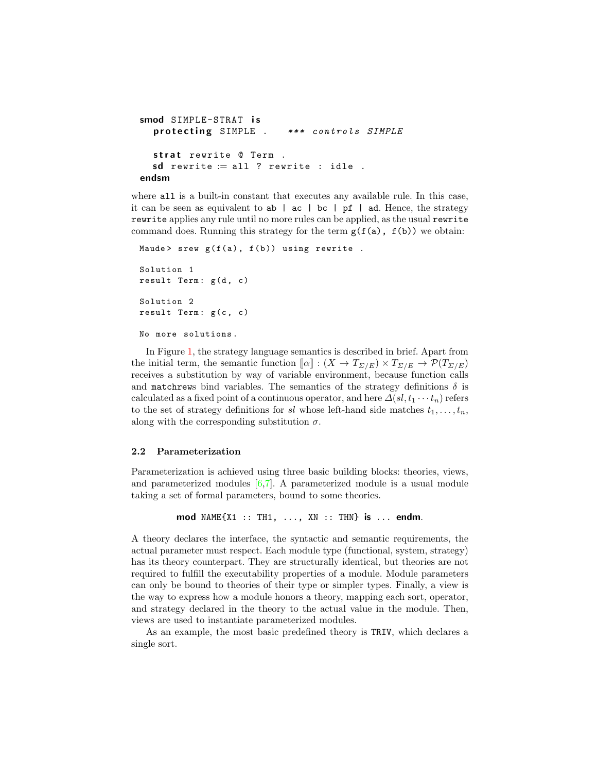```
smod SIMPLE-STRAT is
  protecting SIMPLE . *** controls SIMPLE
  strat rewrite @ Term .
  sd rewrite := all ? rewrite : idle .
endsm
```
where all is a built-in constant that executes any available rule. In this case, it can be seen as equivalent to  $ab \mid ac \mid bc \mid pf \mid ad$ . Hence, the strategy rewrite applies any rule until no more rules can be applied, as the usual rewrite command does. Running this strategy for the term  $g(f(a), f(b))$  we obtain:

```
Maude> srew g(f(a), f(b)) using rewrite.
Solution 1
result Term: g(d, c)Solution 2
result Term: g(c, c)No more solutions .
```
In Figure 1, the strategy language semantics is described in brief. Apart from the initial term, the semantic function  $[\![\alpha]\!] : (X \to T_{\Sigma/E}) \times T_{\Sigma/E} \to \mathcal{P}(T_{\Sigma/E})$ receives a substitution by way of variable environment, because function calls and matchrews bind variables. The semantics of the strategy definitions  $\delta$  is calculated as a fixed point of a continuous operator, and here  $\Delta(s, t_1 \cdots t_n)$  refers to the set of strategy definitions for sl whose left-hand side matches  $t_1, \ldots, t_n$ , along with the corresponding substitution  $\sigma$ .

#### 2.2 Parameterization

Parameterization is achieved using three basic building blocks: theories, views, and parameterized modules  $[6,7]$ . A parameterized module is a usual module taking a set of formal parameters, bound to some theories.

```
mod NAME{X1 :: TH1, ..., XN :: THN} is ... endm.
```
A theory declares the interface, the syntactic and semantic requirements, the actual parameter must respect. Each module type (functional, system, strategy) has its theory counterpart. They are structurally identical, but theories are not required to fulfill the executability properties of a module. Module parameters can only be bound to theories of their type or simpler types. Finally, a view is the way to express how a module honors a theory, mapping each sort, operator, and strategy declared in the theory to the actual value in the module. Then, views are used to instantiate parameterized modules.

As an example, the most basic predefined theory is TRIV, which declares a single sort.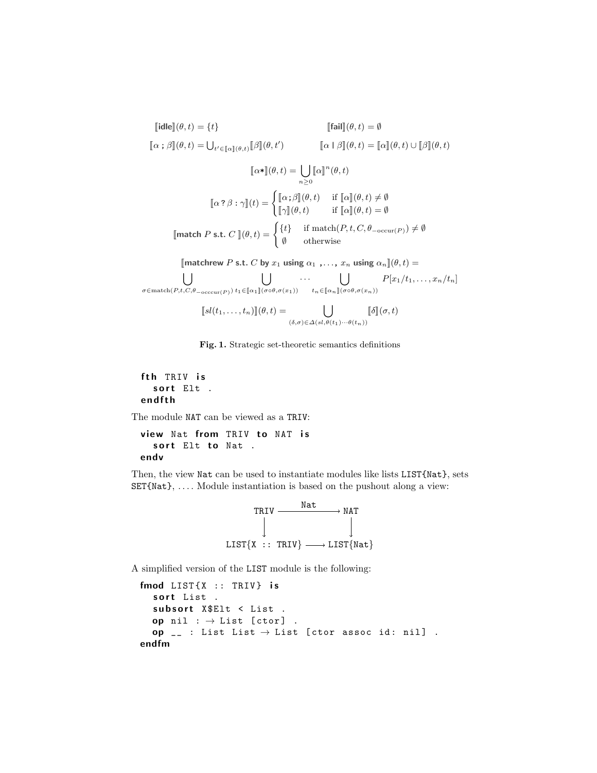

Fig. 1. Strategic set-theoretic semantics definitions

fth TRIV is sort Elt. endfth

The module NAT can be viewed as a TRIV:

```
view Nat from TRIV to NAT is
  sort Elt to Nat .
```

```
endv
```
Then, the view Nat can be used to instantiate modules like lists LIST{Nat}, sets  $SET\{Nat\}, \ldots$ . Module instantiation is based on the pushout along a view:



A simplified version of the LIST module is the following:

```
fmod LIST{X} :: TRIV} is
  sort List.
  subsort X$Elt < List .
  op nil : \rightarrow List [ctor].
  op \Box : List List \rightarrow List [ctor assoc id: nil] .
endfm
```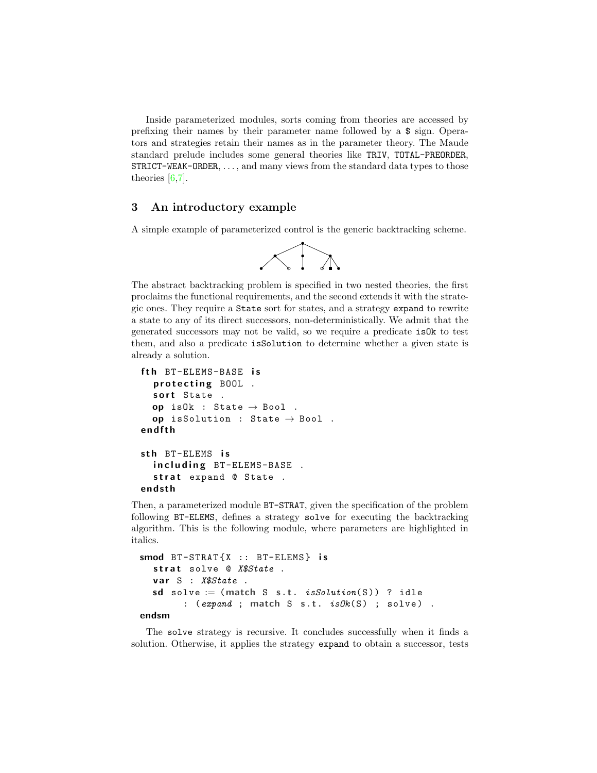Inside parameterized modules, sorts coming from theories are accessed by prefixing their names by their parameter name followed by a \$ sign. Operators and strategies retain their names as in the parameter theory. The Maude standard prelude includes some general theories like TRIV, TOTAL-PREORDER, STRICT-WEAK-ORDER, . . . , and many views from the standard data types to those theories  $[6,7]$ .

#### 3 An introductory example

A simple example of parameterized control is the generic backtracking scheme.



The abstract backtracking problem is specified in two nested theories, the first proclaims the functional requirements, and the second extends it with the strategic ones. They require a State sort for states, and a strategy expand to rewrite a state to any of its direct successors, non-deterministically. We admit that the generated successors may not be valid, so we require a predicate isOk to test them, and also a predicate isSolution to determine whether a given state is already a solution.

```
fth BT-ELEMS-BASE is
  protecting BOOL.
  sort State.
  op isOk : State \rightarrow Bool.
  op isSolution : State \rightarrow Bool.
endfth
sth BT-ELEMS is
  including BT-ELEMS-BASE.
  strat expand @ State .
endsth
```
Then, a parameterized module BT-STRAT, given the specification of the problem following BT-ELEMS, defines a strategy solve for executing the backtracking algorithm. This is the following module, where parameters are highlighted in italics.

```
smod BT-STRAT{X :: BT-ELEMS} is
  strat solve @ X$State .
  var S : X$State.sd solve := (match S s.t. isSolution(S)) ? idle
       : (expand ; match S s.t. isDk(S) ; solve).
endsm
```
The solve strategy is recursive. It concludes successfully when it finds a solution. Otherwise, it applies the strategy expand to obtain a successor, tests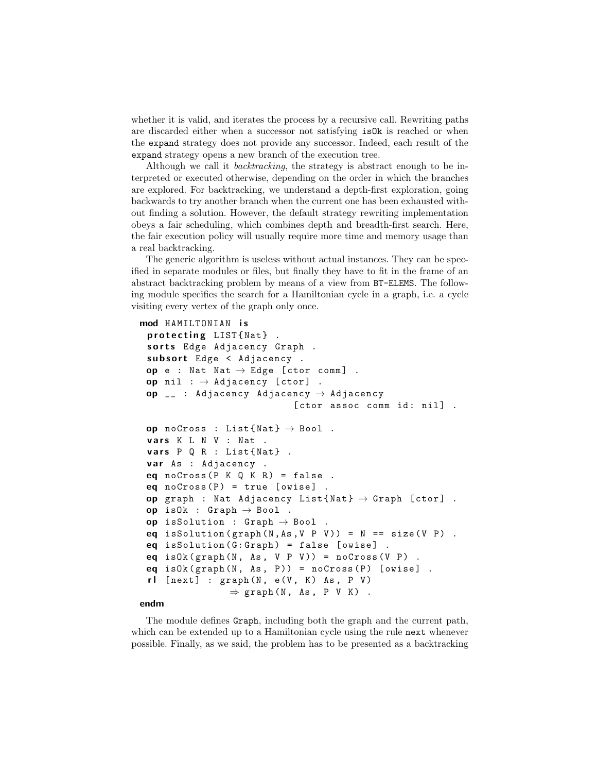whether it is valid, and iterates the process by a recursive call. Rewriting paths are discarded either when a successor not satisfying isOk is reached or when the expand strategy does not provide any successor. Indeed, each result of the expand strategy opens a new branch of the execution tree.

Although we call it backtracking, the strategy is abstract enough to be interpreted or executed otherwise, depending on the order in which the branches are explored. For backtracking, we understand a depth-first exploration, going backwards to try another branch when the current one has been exhausted without finding a solution. However, the default strategy rewriting implementation obeys a fair scheduling, which combines depth and breadth-first search. Here, the fair execution policy will usually require more time and memory usage than a real backtracking.

The generic algorithm is useless without actual instances. They can be specified in separate modules or files, but finally they have to fit in the frame of an abstract backtracking problem by means of a view from BT-ELEMS. The following module specifies the search for a Hamiltonian cycle in a graph, i.e. a cycle visiting every vertex of the graph only once.

```
mod HAMILTONIAN is
 protecting LIST{Nat}.
 sorts Edge Adjacency Graph.
 subsort Edge < Adjacency.
 op e : Nat Nat \rightarrow Edge [ctor comm]
 op nil : \rightarrow Adjacency [ctor] .
 op \t- : Adjacency Adjacency \rightarrow Adjacency
                             [ctor assoc comm id: nil] .
 op noCross : List{Nat} \rightarrow Bool.
 vars K L N V : Nat .
 vars P Q R : List{Nat}var As : Adjacency.
 eq noCross (P K Q K R) = false.
 eq n \circ C \text{ross} (P) = true [owise].
 op graph : Nat Adjacency List {Nat} \rightarrow Graph [ctor] .
 op isOk : Graph \rightarrow Bool .
 op isSolution : Graph \rightarrow Bool.
 eq isSolution (graph (N, As, V P V)) = N = size (V P).
 eq isSolution (G: Graph) = false [owise]
 eq isOk(graph(N, As, V P V)) = noCross(V P)eq isOk (graph(N, As, P)) = noCross(P) [owise].
 r! [next] : graph (N, e(V, K) As, P V)\Rightarrow graph (N, As, P V K).
```
#### endm

The module defines Graph, including both the graph and the current path, which can be extended up to a Hamiltonian cycle using the rule next whenever possible. Finally, as we said, the problem has to be presented as a backtracking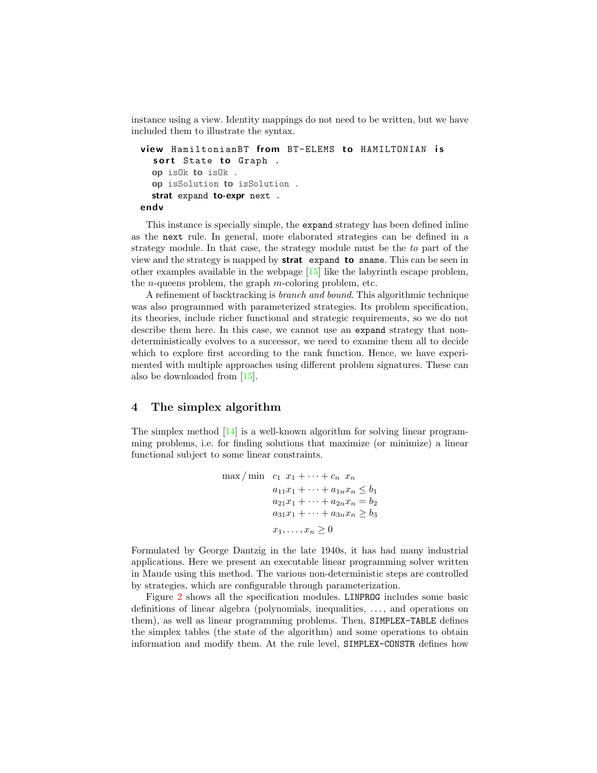instance using a view. Identity mappings do not need to be written, but we have included them to illustrate the syntax.

```
view HamiltonianBT from BT-ELEMS to HAMILTONIAN is
  sort State to Graph.
  op isOk to isOk .
  op isSolution to isSolution .
  strat expand to-expr next.
endv
```
This instance is specially simple, the expand strategy has been defined inline as the next rule. In general, more elaborated strategies can be defined in a strategy module. In that case, the strategy module must be the to part of the view and the strategy is mapped by strat expand to sname. This can be seen in other examples available in the webpage [15] like the labyrinth escape problem, the *n*-queens problem, the graph  $m$ -coloring problem, etc.

A refinement of backtracking is branch and bound. This algorithmic technique was also programmed with parameterized strategies. Its problem specification, its theories, include richer functional and strategic requirements, so we do not describe them here. In this case, we cannot use an expand strategy that nondeterministically evolves to a successor, we need to examine them all to decide which to explore first according to the rank function. Hence, we have experimented with multiple approaches using different problem signatures. These can also be downloaded from [15].

#### 4 The simplex algorithm

The simplex method  $[14]$  is a well-known algorithm for solving linear programming problems, i.e. for finding solutions that maximize (or minimize) a linear functional subject to some linear constraints.

```
\max/\min c_1 x_1 + \cdots + c_n x_na_{11}x_1 + \cdots + a_{1n}x_n \leq b_1a_{21}x_1 + \cdots + a_{2n}x_n = b_2a_{31}x_1 + \cdots + a_{3n}x_n > b_3x_1, \ldots, x_n \geq 0
```
Formulated by George Dantzig in the late 1940s, it has had many industrial applications. Here we present an executable linear programming solver written in Maude using this method. The various non-deterministic steps are controlled by strategies, which are configurable through parameterization.

Figure 2 shows all the specification modules. LINPROG includes some basic definitions of linear algebra (polynomials, inequalities, ..., and operations on them), as well as linear programming problems. Then, SIMPLEX-TABLE defines the simplex tables (the state of the algorithm) and some operations to obtain information and modify them. At the rule level, SIMPLEX-CONSTR defines how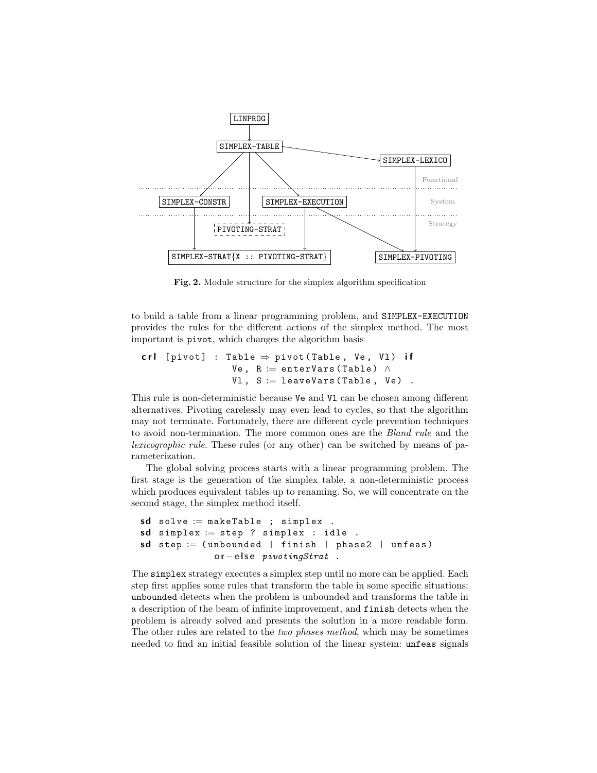

Fig. 2. Module structure for the simplex algorithm specification

to build a table from a linear programming problem, and SIMPLEX-EXECUTION provides the rules for the different actions of the simplex method. The most important is pivot, which changes the algorithm basis

```
crl [pivot] : Table \Rightarrow pivot (Table, Ve, Vl) if
                    Ve, R := enterVars (Table) \landVl, S := \text{leavesVars}(\text{Table}, \text{Ve})
```
This rule is non-deterministic because Ve and V1 can be chosen among different alternatives. Pivoting carelessly may even lead to cycles, so that the algorithm may not terminate. Fortunately, there are different cycle prevention techniques to avoid non-termination. The more common ones are the Bland rule and the lexicographic rule. These rules (or any other) can be switched by means of parameterization.

The global solving process starts with a linear programming problem. The first stage is the generation of the simplex table, a non-deterministic process which produces equivalent tables up to renaming. So, we will concentrate on the second stage, the simplex method itself.

```
sd solve := makeTable ; simplex .
sd simplex := step ? simplex : idle .
sd step := (unbounded | finish | phase2 | unfeas)
            or-else pivotingStrat.
```
The simplex strategy executes a simplex step until no more can be applied. Each step first applies some rules that transform the table in some specific situations: unbounded detects when the problem is unbounded and transforms the table in a description of the beam of infinite improvement, and finish detects when the problem is already solved and presents the solution in a more readable form. The other rules are related to the two phases method, which may be sometimes needed to find an initial feasible solution of the linear system: unfeas signals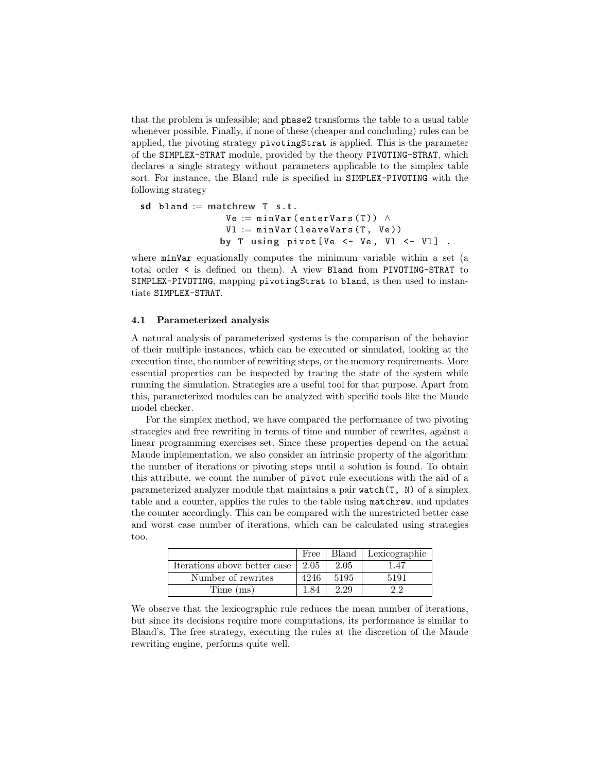that the problem is unfeasible; and phase2 transforms the table to a usual table whenever possible. Finally, if none of these (cheaper and concluding) rules can be applied, the pivoting strategy pivotingStrat is applied. This is the parameter of the SIMPLEX-STRAT module, provided by the theory PIVOTING-STRAT, which declares a single strategy without parameters applicable to the simplex table sort. For instance, the Bland rule is specified in SIMPLEX-PIVOTING with the following strategy

```
sd bland := matchrew T s.t.
                Ve := minVar (enterVars (T)) \landVI := minVar( leavesVarS(T, Ve))by T using pivot[Ve \leftarrow Ve, VI \leftarrow VI].
```
where  $minVar$  equationally computes the minimum variable within a set (a total order < is defined on them). A view Bland from PIVOTING-STRAT to SIMPLEX-PIVOTING, mapping pivotingStrat to bland, is then used to instantiate SIMPLEX-STRAT.

#### 4.1 Parameterized analysis

A natural analysis of parameterized systems is the comparison of the behavior of their multiple instances, which can be executed or simulated, looking at the execution time, the number of rewriting steps, or the memory requirements. More essential properties can be inspected by tracing the state of the system while running the simulation. Strategies are a useful tool for that purpose. Apart from this, parameterized modules can be analyzed with specific tools like the Maude model checker.

For the simplex method, we have compared the performance of two pivoting strategies and free rewriting in terms of time and number of rewrites, against a linear programming exercises set. Since these properties depend on the actual Maude implementation, we also consider an intrinsic property of the algorithm: the number of iterations or pivoting steps until a solution is found. To obtain this attribute, we count the number of pivot rule executions with the aid of a parameterized analyzer module that maintains a pair watch(T, N) of a simplex table and a counter, applies the rules to the table using matchrew, and updates the counter accordingly. This can be compared with the unrestricted better case and worst case number of iterations, which can be calculated using strategies too.

|                              | Free | Bland | Lexicographic |
|------------------------------|------|-------|---------------|
| Iterations above better case | 2.05 | 2.05  | 1.47          |
| Number of rewrites           | 4246 | 5195  | 5191          |
| Time (ms)                    | 1.84 | 2.29  | 22            |

We observe that the lexicographic rule reduces the mean number of iterations, but since its decisions require more computations, its performance is similar to Bland's. The free strategy, executing the rules at the discretion of the Maude rewriting engine, performs quite well.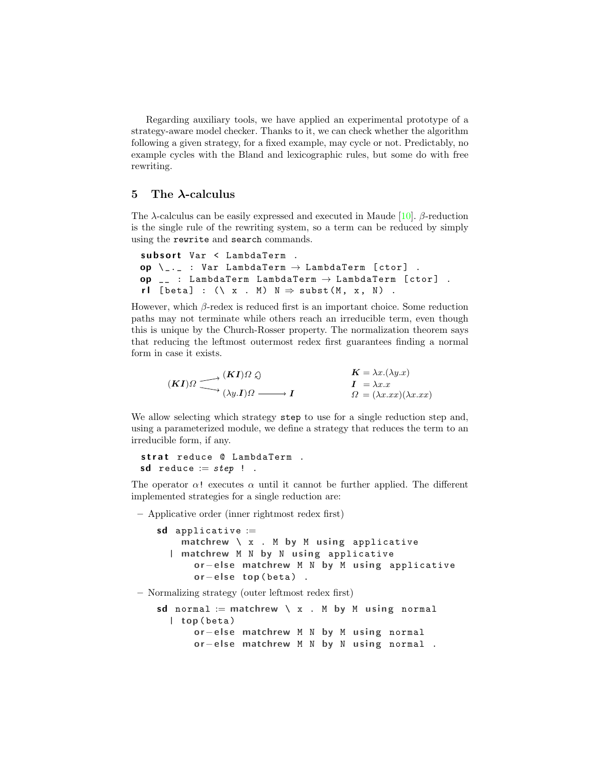Regarding auxiliary tools, we have applied an experimental prototype of a strategy-aware model checker. Thanks to it, we can check whether the algorithm following a given strategy, for a fixed example, may cycle or not. Predictably, no example cycles with the Bland and lexicographic rules, but some do with free rewriting.

#### 5 The  $λ$ -calculus

The  $\lambda$ -calculus can be easily expressed and executed in Maude [10].  $\beta$ -reduction is the single rule of the rewriting system, so a term can be reduced by simply using the rewrite and search commands.

```
subsort Var < LambdaTerm .
op \setminus ... : Var LambdaTerm \rightarrow LambdaTerm [ctor] .
op \Box : LambdaTerm LambdaTerm \rightarrow LambdaTerm [ctor] .
rl [beta] : (\{ x \in M) \mid N \Rightarrow \text{subst}(M, x, N) \}.
```
However, which  $\beta$ -redex is reduced first is an important choice. Some reduction paths may not terminate while others reach an irreducible term, even though this is unique by the Church-Rosser property. The normalization theorem says that reducing the leftmost outermost redex first guarantees finding a normal form in case it exists.

$$
(KI)\Omega \xrightarrow{\qquad} (KI)\Omega \otimes \qquad K = \lambda x.(\lambda y.x)
$$
  
\n
$$
I = \lambda x.x
$$
  
\n
$$
\Omega = (\lambda x.xx)(\lambda x.xx)
$$

We allow selecting which strategy step to use for a single reduction step and, using a parameterized module, we define a strategy that reduces the term to an irreducible form, if any.

```
strat reduce @ LambdaTerm .
sd reduce := step :.
```
The operator  $\alpha$ ! executes  $\alpha$  until it cannot be further applied. The different implemented strategies for a single reduction are:

– Applicative order (inner rightmost redex first)

```
sd applicative :=matchrew \setminus x. M by M using applicative
  | matchrew M N by N using applicative
      or-else matchrew M N by M using applicative
      or-else top (beta).
```
– Normalizing strategy (outer leftmost redex first)

```
sd normal := matchrew \setminus x. M by M using normal
  | top ( beta )
      or-else matchrew M N by M using normal
      or-else matchrew M N by N using normal .
```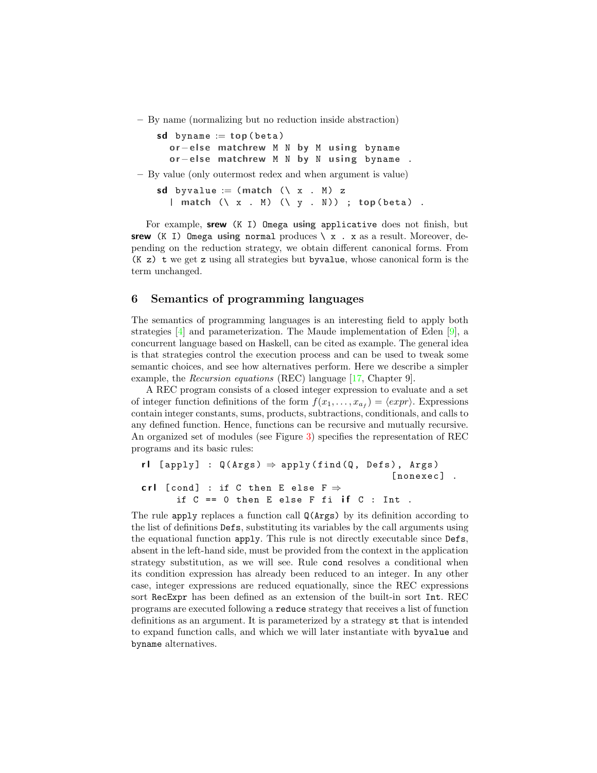– By name (normalizing but no reduction inside abstraction)

```
sd byname := top (beta)
  or-else matchrew M N by M using byname
  or-else matchrew M N by N using byname
```
– By value (only outermost redex and when argument is value)

```
sd byvalue := (match (\forall x \dots M) z
  | match (\{ x \dots M) \ (\{ y \dots N) \}; top (beta).
```
For example, srew (K I) Omega using applicative does not finish, but srew (K I) Omega using normal produces  $\setminus x$ . x as a result. Moreover, depending on the reduction strategy, we obtain different canonical forms. From (K z) t we get z using all strategies but byvalue, whose canonical form is the term unchanged.

#### 6 Semantics of programming languages

The semantics of programming languages is an interesting field to apply both strategies [4] and parameterization. The Maude implementation of Eden [9], a concurrent language based on Haskell, can be cited as example. The general idea is that strategies control the execution process and can be used to tweak some semantic choices, and see how alternatives perform. Here we describe a simpler example, the *Recursion equations* (REC) language [17, Chapter 9].

A REC program consists of a closed integer expression to evaluate and a set of integer function definitions of the form  $f(x_1, \ldots, x_{a_f}) = \langle exp \rangle$ . Expressions contain integer constants, sums, products, subtractions, conditionals, and calls to any defined function. Hence, functions can be recursive and mutually recursive. An organized set of modules (see Figure 3) specifies the representation of REC programs and its basic rules:

```
rl [apply] : Q(Args) \Rightarrow apply(find(Q, Defs), Args)[nonexec] .
crl [cond] : if C then E else F \Rightarrowif C = 0 then E else F fi if C : Int .
```
The rule apply replaces a function call Q(Args) by its definition according to the list of definitions Defs, substituting its variables by the call arguments using the equational function apply. This rule is not directly executable since Defs, absent in the left-hand side, must be provided from the context in the application strategy substitution, as we will see. Rule cond resolves a conditional when its condition expression has already been reduced to an integer. In any other case, integer expressions are reduced equationally, since the REC expressions sort RecExpr has been defined as an extension of the built-in sort Int. REC programs are executed following a reduce strategy that receives a list of function definitions as an argument. It is parameterized by a strategy st that is intended to expand function calls, and which we will later instantiate with byvalue and byname alternatives.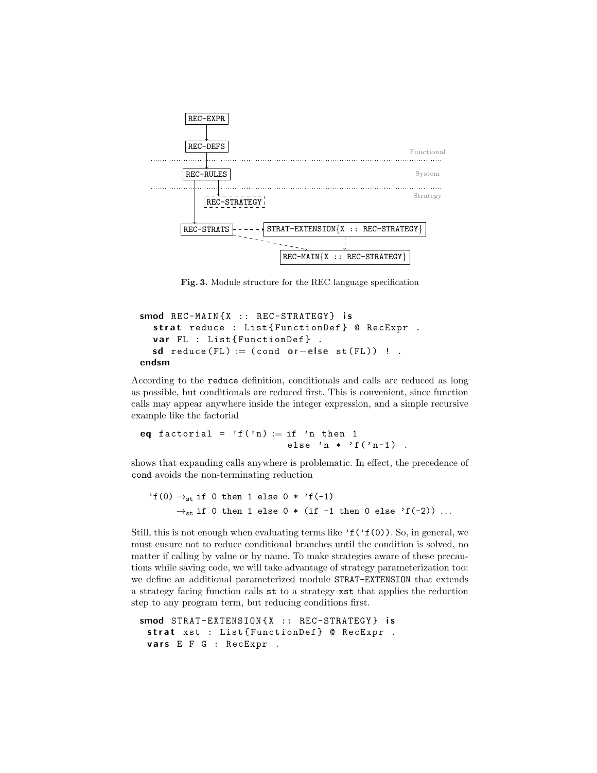

Fig. 3. Module structure for the REC language specification

```
smod REC-MAIN{X :: REC-STRATEGY} is
  strat reduce : List { FunctionDef } @ RecExpr .
  var FL : List { FunctionDef } .
  sd reduce (FL) := (cond or-else st (FL)) ! .
endsm
```
According to the reduce definition, conditionals and calls are reduced as long as possible, but conditionals are reduced first. This is convenient, since function calls may appear anywhere inside the integer expression, and a simple recursive example like the factorial

eq factorial =  $'f('n) := if 'n then 1$ else 'n  $*$  'f ('n-1).

shows that expanding calls anywhere is problematic. In effect, the precedence of cond avoids the non-terminating reduction

```
'f(0) \rightarrow<sub>st</sub> if 0 then 1 else 0 * 'f(-1)
       \rightarrow_{st} if 0 then 1 else 0 * (if -1 then 0 else 'f(-2)) ...
```
Still, this is not enough when evaluating terms like  $f('f(0))$ . So, in general, we must ensure not to reduce conditional branches until the condition is solved, no matter if calling by value or by name. To make strategies aware of these precautions while saving code, we will take advantage of strategy parameterization too: we define an additional parameterized module STRAT-EXTENSION that extends a strategy facing function calls st to a strategy xst that applies the reduction step to any program term, but reducing conditions first.

```
smod STRAT-EXTENSION{X :: REC-STRATEGY} is
 strat xst : List { FunctionDef } @ RecExpr .
 vars E F G : RecExpr .
```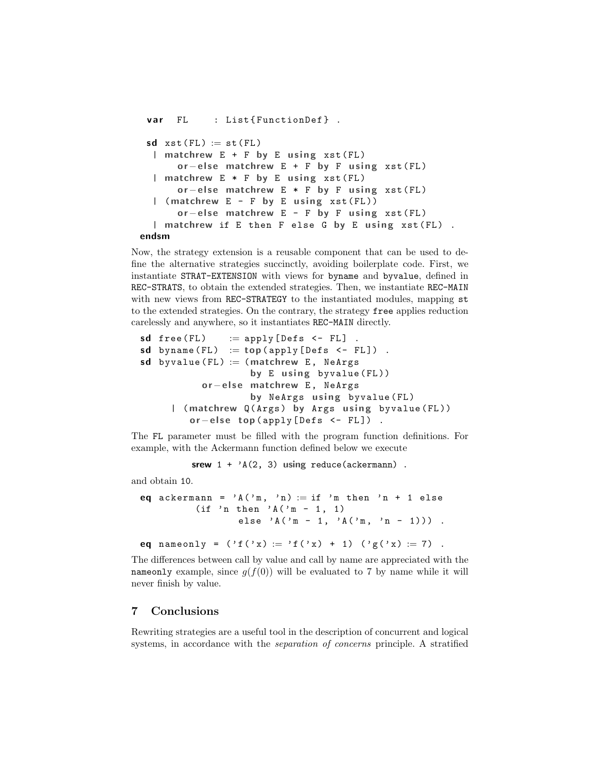```
var FL : List { Function Def }.
sd xst (FL) := st (FL)
 | matchrew E + F by E using xst (FL)
     or-else matchrew E + F by F using xst (FL)
 | matchrew E * F by E using xst (FL)
     or-else matchrew E * F by F using xst (FL)
 | (matchrew E - F by E using xst(FL))
     or-else matchrew E - F by F using xst (FL)
 | matchrew if E then F else G by E using xst (FL) .
```
endsm

Now, the strategy extension is a reusable component that can be used to define the alternative strategies succinctly, avoiding boilerplate code. First, we instantiate STRAT-EXTENSION with views for byname and byvalue, defined in REC-STRATS, to obtain the extended strategies. Then, we instantiate REC-MAIN with new views from REC-STRATEGY to the instantiated modules, mapping st to the extended strategies. On the contrary, the strategy free applies reduction carelessly and anywhere, so it instantiates REC-MAIN directly.

```
sd free (FL) := apply [Defs \leq FL]
sd byname (FL) := top (apply [Defs < - FL]).
sd byvalue (FL) := (matchrew E, NeArgsby E using byvalue (FL))
          or-else matchrew E, NeArgs
                   by NeArgs using byvalue (FL)
     | (matchrew Q (Args) by Args using byvalue (FL))
        or-else top (apply [Defs <- FL])
```
The FL parameter must be filled with the program function definitions. For example, with the Ackermann function defined below we execute

srew  $1 + \lambda(2, 3)$  using reduce(ackermann).

and obtain 10.

eq ackermann =  $'A('m, 'n) := if 'm then 'n + 1 else$ (if 'n then  $A('m - 1, 1)$ else  $'A('m - 1, 'A('m, 'n - 1)))$ . eq nameonly =  $('f('x)) := 'f('x) + 1) ('g('x) := 7)$ .

The differences between call by value and call by name are appreciated with the nameonly example, since  $g(f(0))$  will be evaluated to 7 by name while it will never finish by value.

### 7 Conclusions

Rewriting strategies are a useful tool in the description of concurrent and logical systems, in accordance with the *separation of concerns* principle. A stratified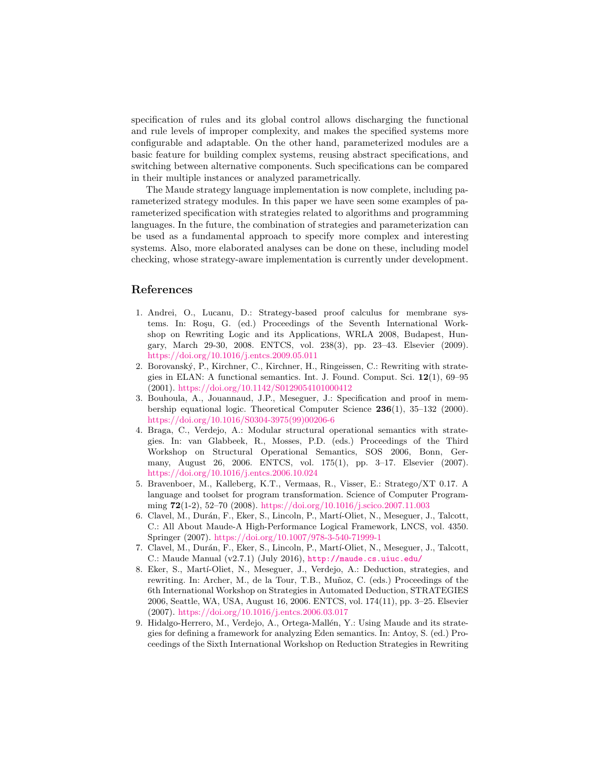specification of rules and its global control allows discharging the functional and rule levels of improper complexity, and makes the specified systems more configurable and adaptable. On the other hand, parameterized modules are a basic feature for building complex systems, reusing abstract specifications, and switching between alternative components. Such specifications can be compared in their multiple instances or analyzed parametrically.

The Maude strategy language implementation is now complete, including parameterized strategy modules. In this paper we have seen some examples of parameterized specification with strategies related to algorithms and programming languages. In the future, the combination of strategies and parameterization can be used as a fundamental approach to specify more complex and interesting systems. Also, more elaborated analyses can be done on these, including model checking, whose strategy-aware implementation is currently under development.

#### References

- 1. Andrei, O., Lucanu, D.: Strategy-based proof calculus for membrane systems. In: Roşu, G. (ed.) Proceedings of the Seventh International Workshop on Rewriting Logic and its Applications, WRLA 2008, Budapest, Hungary, March 29-30, 2008. ENTCS, vol. 238(3), pp. 23–43. Elsevier (2009). <https://doi.org/10.1016/j.entcs.2009.05.011>
- 2. Borovansk´y, P., Kirchner, C., Kirchner, H., Ringeissen, C.: Rewriting with strategies in ELAN: A functional semantics. Int. J. Found. Comput. Sci.  $12(1)$ , 69–95 (2001). <https://doi.org/10.1142/S0129054101000412>
- 3. Bouhoula, A., Jouannaud, J.P., Meseguer, J.: Specification and proof in membership equational logic. Theoretical Computer Science  $236(1)$ ,  $35-132$  (2000). [https://doi.org/10.1016/S0304-3975\(99\)00206-6](https://doi.org/10.1016/S0304-3975(99)00206-6)
- 4. Braga, C., Verdejo, A.: Modular structural operational semantics with strategies. In: van Glabbeek, R., Mosses, P.D. (eds.) Proceedings of the Third Workshop on Structural Operational Semantics, SOS 2006, Bonn, Germany, August 26, 2006. ENTCS, vol. 175(1), pp. 3–17. Elsevier (2007). <https://doi.org/10.1016/j.entcs.2006.10.024>
- 5. Bravenboer, M., Kalleberg, K.T., Vermaas, R., Visser, E.: Stratego/XT 0.17. A language and toolset for program transformation. Science of Computer Programming 72(1-2), 52–70 (2008). <https://doi.org/10.1016/j.scico.2007.11.003>
- 6. Clavel, M., Durán, F., Eker, S., Lincoln, P., Martí-Oliet, N., Meseguer, J., Talcott, C.: All About Maude-A High-Performance Logical Framework, LNCS, vol. 4350. Springer (2007). <https://doi.org/10.1007/978-3-540-71999-1>
- 7. Clavel, M., Durán, F., Eker, S., Lincoln, P., Martí-Oliet, N., Meseguer, J., Talcott, C.: Maude Manual (v2.7.1) (July 2016), <http://maude.cs.uiuc.edu/>
- 8. Eker, S., Martí-Oliet, N., Meseguer, J., Verdejo, A.: Deduction, strategies, and rewriting. In: Archer, M., de la Tour, T.B., Muñoz, C. (eds.) Proceedings of the 6th International Workshop on Strategies in Automated Deduction, STRATEGIES 2006, Seattle, WA, USA, August 16, 2006. ENTCS, vol. 174(11), pp. 3–25. Elsevier (2007). <https://doi.org/10.1016/j.entcs.2006.03.017>
- 9. Hidalgo-Herrero, M., Verdejo, A., Ortega-Mallén, Y.: Using Maude and its strategies for defining a framework for analyzing Eden semantics. In: Antoy, S. (ed.) Proceedings of the Sixth International Workshop on Reduction Strategies in Rewriting